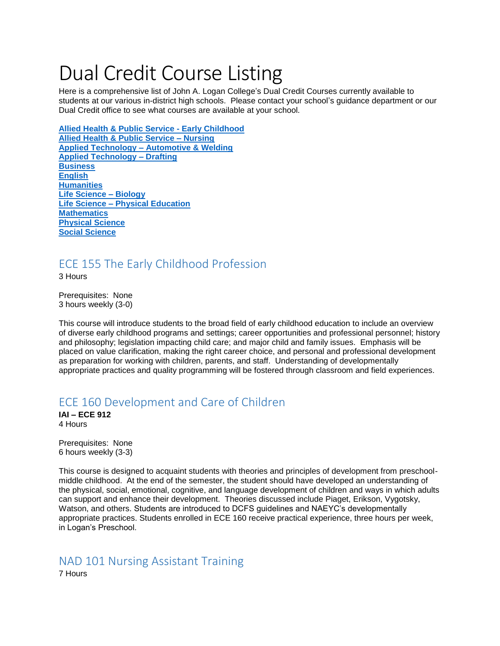# Dual Credit Course Listing

Here is a comprehensive list of John A. Logan College's Dual Credit Courses currently available to students at our various in-district high schools. Please contact your school's guidance department or our Dual Credit office to see what courses are available at your school.

**[Allied Health & Public Service -](#page-0-0) Early Childhood [Allied Health & Public Service –](#page-0-1) Nursing Applied Technology – [Automotive & Welding](#page-1-0) [Applied Technology –](#page-2-0) Drafting [Business](#page-2-1) [English](#page-3-0) [Humanities](#page-4-0) [Life Science –](#page-6-0) Biology Life Science – [Physical Education](#page-7-0) [Mathematics](#page-7-1) [Physical Science](#page-8-0)  [Social Science](#page-8-1)**

# <span id="page-0-0"></span>ECE 155 The Early Childhood Profession

3 Hours

Prerequisites: None 3 hours weekly (3-0)

This course will introduce students to the broad field of early childhood education to include an overview of diverse early childhood programs and settings; career opportunities and professional personnel; history and philosophy; legislation impacting child care; and major child and family issues. Emphasis will be placed on value clarification, making the right career choice, and personal and professional development as preparation for working with children, parents, and staff. Understanding of developmentally appropriate practices and quality programming will be fostered through classroom and field experiences.

# ECE 160 Development and Care of Children

**IAI – ECE 912** 4 Hours

Prerequisites: None 6 hours weekly (3-3)

This course is designed to acquaint students with theories and principles of development from preschoolmiddle childhood. At the end of the semester, the student should have developed an understanding of the physical, social, emotional, cognitive, and language development of children and ways in which adults can support and enhance their development. Theories discussed include Piaget, Erikson, Vygotsky, Watson, and others. Students are introduced to DCFS guidelines and NAEYC's developmentally appropriate practices. Students enrolled in ECE 160 receive practical experience, three hours per week, in Logan's Preschool.

# <span id="page-0-1"></span>NAD 101 Nursing Assistant Training

7 Hours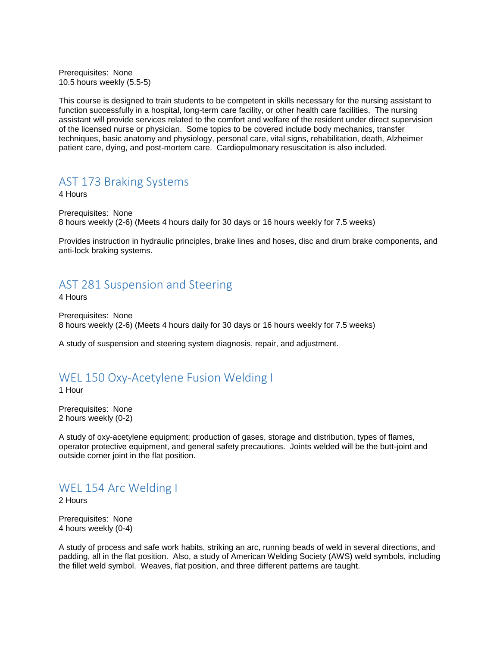Prerequisites: None 10.5 hours weekly (5.5-5)

This course is designed to train students to be competent in skills necessary for the nursing assistant to function successfully in a hospital, long-term care facility, or other health care facilities. The nursing assistant will provide services related to the comfort and welfare of the resident under direct supervision of the licensed nurse or physician. Some topics to be covered include body mechanics, transfer techniques, basic anatomy and physiology, personal care, vital signs, rehabilitation, death, Alzheimer patient care, dying, and post-mortem care. Cardiopulmonary resuscitation is also included.

#### <span id="page-1-0"></span>AST 173 Braking Systems

4 Hours

Prerequisites: None 8 hours weekly (2-6) (Meets 4 hours daily for 30 days or 16 hours weekly for 7.5 weeks)

Provides instruction in hydraulic principles, brake lines and hoses, disc and drum brake components, and anti-lock braking systems.

#### AST 281 Suspension and Steering

4 Hours

Prerequisites: None 8 hours weekly (2-6) (Meets 4 hours daily for 30 days or 16 hours weekly for 7.5 weeks)

A study of suspension and steering system diagnosis, repair, and adjustment.

## WEL 150 Oxy-Acetylene Fusion Welding I

1 Hour

Prerequisites: None 2 hours weekly (0-2)

A study of oxy-acetylene equipment; production of gases, storage and distribution, types of flames, operator protective equipment, and general safety precautions. Joints welded will be the butt-joint and outside corner joint in the flat position.

# WEL 154 Arc Welding I

2 Hours

Prerequisites: None 4 hours weekly (0-4)

A study of process and safe work habits, striking an arc, running beads of weld in several directions, and padding, all in the flat position. Also, a study of American Welding Society (AWS) weld symbols, including the fillet weld symbol. Weaves, flat position, and three different patterns are taught.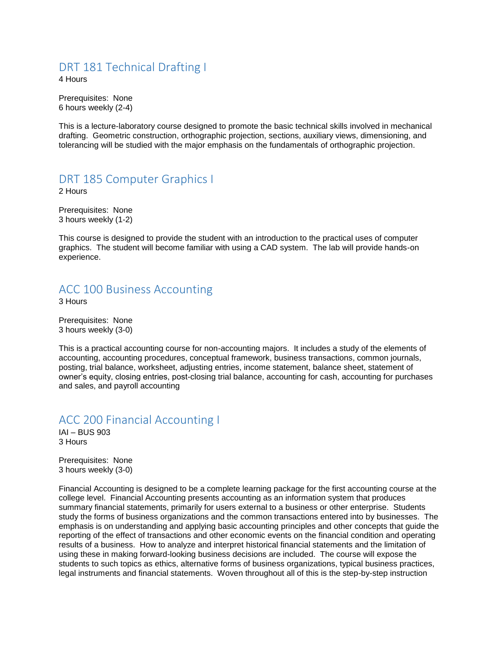# <span id="page-2-0"></span>DRT 181 Technical Drafting I

4 Hours

Prerequisites: None 6 hours weekly (2-4)

This is a lecture-laboratory course designed to promote the basic technical skills involved in mechanical drafting. Geometric construction, orthographic projection, sections, auxiliary views, dimensioning, and tolerancing will be studied with the major emphasis on the fundamentals of orthographic projection.

# DRT 185 Computer Graphics I

2 Hours

Prerequisites: None 3 hours weekly (1-2)

This course is designed to provide the student with an introduction to the practical uses of computer graphics. The student will become familiar with using a CAD system. The lab will provide hands-on experience.

# <span id="page-2-1"></span>ACC 100 Business Accounting

3 Hours

Prerequisites: None 3 hours weekly (3-0)

This is a practical accounting course for non-accounting majors. It includes a study of the elements of accounting, accounting procedures, conceptual framework, business transactions, common journals, posting, trial balance, worksheet, adjusting entries, income statement, balance sheet, statement of owner's equity, closing entries, post-closing trial balance, accounting for cash, accounting for purchases and sales, and payroll accounting

#### ACC 200 Financial Accounting I

IAI – BUS 903 3 Hours

Prerequisites: None 3 hours weekly (3-0)

Financial Accounting is designed to be a complete learning package for the first accounting course at the college level. Financial Accounting presents accounting as an information system that produces summary financial statements, primarily for users external to a business or other enterprise. Students study the forms of business organizations and the common transactions entered into by businesses. The emphasis is on understanding and applying basic accounting principles and other concepts that guide the reporting of the effect of transactions and other economic events on the financial condition and operating results of a business. How to analyze and interpret historical financial statements and the limitation of using these in making forward-looking business decisions are included. The course will expose the students to such topics as ethics, alternative forms of business organizations, typical business practices, legal instruments and financial statements. Woven throughout all of this is the step-by-step instruction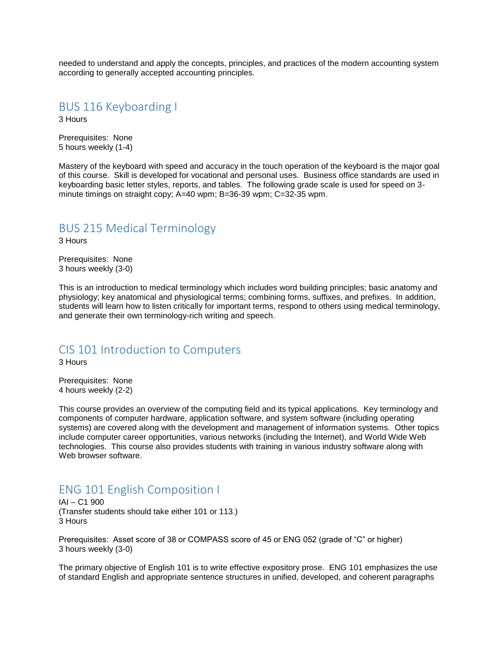needed to understand and apply the concepts, principles, and practices of the modern accounting system according to generally accepted accounting principles.

#### BUS 116 Keyboarding I

3 Hours

Prerequisites: None 5 hours weekly (1-4)

Mastery of the keyboard with speed and accuracy in the touch operation of the keyboard is the major goal of this course. Skill is developed for vocational and personal uses. Business office standards are used in keyboarding basic letter styles, reports, and tables. The following grade scale is used for speed on 3 minute timings on straight copy; A=40 wpm; B=36-39 wpm; C=32-35 wpm.

#### BUS 215 Medical Terminology

3 Hours

Prerequisites: None 3 hours weekly (3-0)

This is an introduction to medical terminology which includes word building principles; basic anatomy and physiology; key anatomical and physiological terms; combining forms, suffixes, and prefixes. In addition, students will learn how to listen critically for important terms, respond to others using medical terminology, and generate their own terminology-rich writing and speech.

#### CIS 101 Introduction to Computers

3 Hours

Prerequisites: None 4 hours weekly (2-2)

This course provides an overview of the computing field and its typical applications. Key terminology and components of computer hardware, application software, and system software (including operating systems) are covered along with the development and management of information systems. Other topics include computer career opportunities, various networks (including the Internet), and World Wide Web technologies. This course also provides students with training in various industry software along with Web browser software.

# <span id="page-3-0"></span>ENG 101 English Composition I

IAI – C1 900 (Transfer students should take either 101 or 113.) 3 Hours

Prerequisites: Asset score of 38 or COMPASS score of 45 or ENG 052 (grade of "C" or higher) 3 hours weekly (3-0)

The primary objective of English 101 is to write effective expository prose. ENG 101 emphasizes the use of standard English and appropriate sentence structures in unified, developed, and coherent paragraphs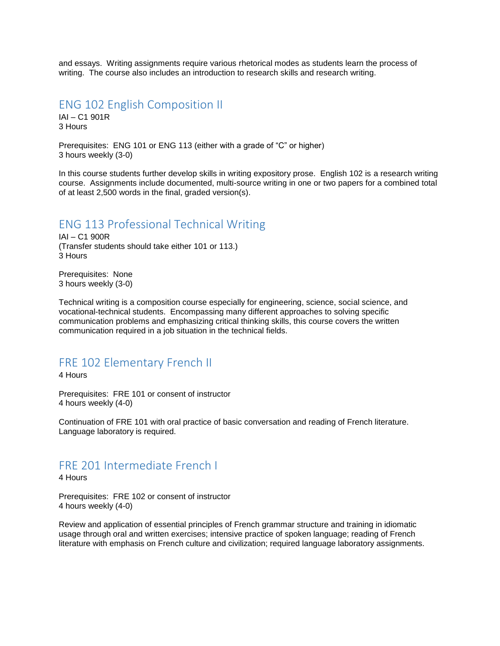and essays. Writing assignments require various rhetorical modes as students learn the process of writing. The course also includes an introduction to research skills and research writing.

#### ENG 102 English Composition II

IAI – C1 901R 3 Hours

Prerequisites: ENG 101 or ENG 113 (either with a grade of "C" or higher) 3 hours weekly (3-0)

In this course students further develop skills in writing expository prose. English 102 is a research writing course. Assignments include documented, multi-source writing in one or two papers for a combined total of at least 2,500 words in the final, graded version(s).

#### ENG 113 Professional Technical Writing

IAI – C1 900R (Transfer students should take either 101 or 113.) 3 Hours

Prerequisites: None 3 hours weekly (3-0)

Technical writing is a composition course especially for engineering, science, social science, and vocational-technical students. Encompassing many different approaches to solving specific communication problems and emphasizing critical thinking skills, this course covers the written communication required in a job situation in the technical fields.

# <span id="page-4-0"></span>FRE 102 Elementary French II

4 Hours

Prerequisites: FRE 101 or consent of instructor 4 hours weekly (4-0)

Continuation of FRE 101 with oral practice of basic conversation and reading of French literature. Language laboratory is required.

#### FRE 201 Intermediate French I

4 Hours

Prerequisites: FRE 102 or consent of instructor 4 hours weekly (4-0)

Review and application of essential principles of French grammar structure and training in idiomatic usage through oral and written exercises; intensive practice of spoken language; reading of French literature with emphasis on French culture and civilization; required language laboratory assignments.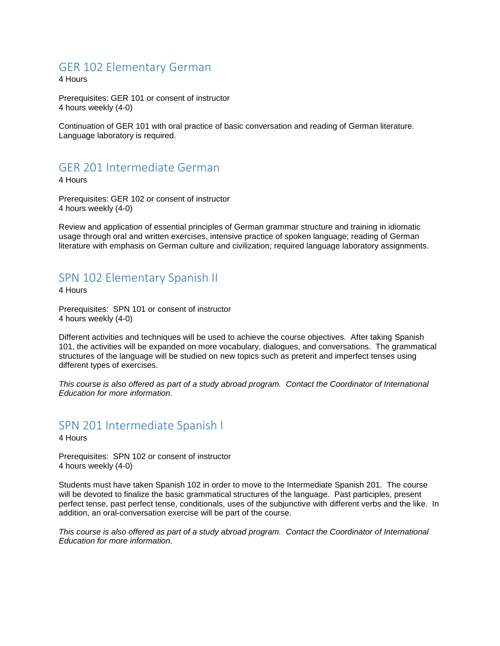### GER 102 Elementary German

4 Hours

Prerequisites: GER 101 or consent of instructor 4 hours weekly (4-0)

Continuation of GER 101 with oral practice of basic conversation and reading of German literature. Language laboratory is required.

# GER 201 Intermediate German

4 Hours

Prerequisites: GER 102 or consent of instructor 4 hours weekly (4-0)

Review and application of essential principles of German grammar structure and training in idiomatic usage through oral and written exercises, intensive practice of spoken language; reading of German literature with emphasis on German culture and civilization; required language laboratory assignments.

#### SPN 102 Elementary Spanish II

4 Hours

Prerequisites: SPN 101 or consent of instructor 4 hours weekly (4-0)

Different activities and techniques will be used to achieve the course objectives. After taking Spanish 101, the activities will be expanded on more vocabulary, dialogues, and conversations. The grammatical structures of the language will be studied on new topics such as preterit and imperfect tenses using different types of exercises.

*This course is also offered as part of a study abroad program. Contact the Coordinator of International Education for more information.*

#### SPN 201 Intermediate Spanish I

4 Hours

Prerequisites: SPN 102 or consent of instructor 4 hours weekly (4-0)

Students must have taken Spanish 102 in order to move to the Intermediate Spanish 201. The course will be devoted to finalize the basic grammatical structures of the language. Past participles, present perfect tense, past perfect tense, conditionals, uses of the subjunctive with different verbs and the like. In addition, an oral-conversation exercise will be part of the course.

*This course is also offered as part of a study abroad program. Contact the Coordinator of International Education for more information.*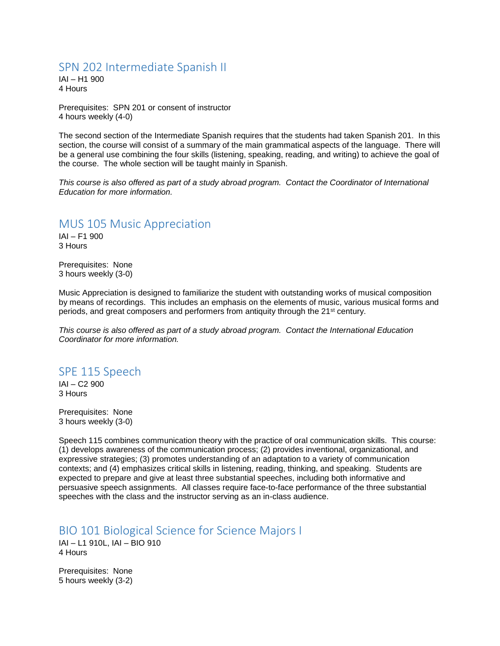#### SPN 202 Intermediate Spanish II

IAI – H1 900 4 Hours

Prerequisites: SPN 201 or consent of instructor 4 hours weekly (4-0)

The second section of the Intermediate Spanish requires that the students had taken Spanish 201. In this section, the course will consist of a summary of the main grammatical aspects of the language. There will be a general use combining the four skills (listening, speaking, reading, and writing) to achieve the goal of the course. The whole section will be taught mainly in Spanish.

*This course is also offered as part of a study abroad program. Contact the Coordinator of International Education for more information.*

#### MUS 105 Music Appreciation

IAI – F1 900 3 Hours

Prerequisites: None 3 hours weekly (3-0)

Music Appreciation is designed to familiarize the student with outstanding works of musical composition by means of recordings. This includes an emphasis on the elements of music, various musical forms and periods, and great composers and performers from antiquity through the 21st century.

*This course is also offered as part of a study abroad program. Contact the International Education Coordinator for more information.*

#### SPE 115 Speech

IAI – C2 900 3 Hours

Prerequisites: None 3 hours weekly (3-0)

Speech 115 combines communication theory with the practice of oral communication skills. This course: (1) develops awareness of the communication process; (2) provides inventional, organizational, and expressive strategies; (3) promotes understanding of an adaptation to a variety of communication contexts; and (4) emphasizes critical skills in listening, reading, thinking, and speaking. Students are expected to prepare and give at least three substantial speeches, including both informative and persuasive speech assignments. All classes require face-to-face performance of the three substantial speeches with the class and the instructor serving as an in-class audience.

<span id="page-6-0"></span>BIO 101 Biological Science for Science Majors I

IAI – L1 910L, IAI – BIO 910 4 Hours

Prerequisites: None 5 hours weekly (3-2)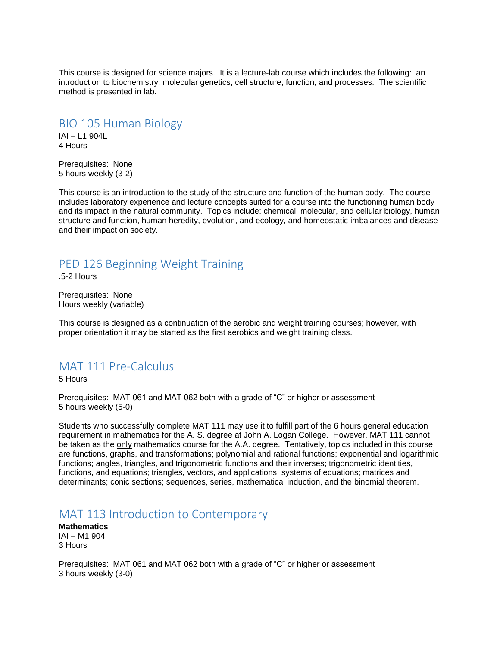This course is designed for science majors. It is a lecture-lab course which includes the following: an introduction to biochemistry, molecular genetics, cell structure, function, and processes. The scientific method is presented in lab.

BIO 105 Human Biology

IAI – L1 904L 4 Hours

Prerequisites: None 5 hours weekly (3-2)

This course is an introduction to the study of the structure and function of the human body. The course includes laboratory experience and lecture concepts suited for a course into the functioning human body and its impact in the natural community. Topics include: chemical, molecular, and cellular biology, human structure and function, human heredity, evolution, and ecology, and homeostatic imbalances and disease and their impact on society.

# <span id="page-7-0"></span>PED 126 Beginning Weight Training

.5-2 Hours

Prerequisites: None Hours weekly (variable)

This course is designed as a continuation of the aerobic and weight training courses; however, with proper orientation it may be started as the first aerobics and weight training class.

# <span id="page-7-1"></span>MAT 111 Pre-Calculus

5 Hours

Prerequisites: MAT 061 and MAT 062 both with a grade of "C" or higher or assessment 5 hours weekly (5-0)

Students who successfully complete MAT 111 may use it to fulfill part of the 6 hours general education requirement in mathematics for the A. S. degree at John A. Logan College. However, MAT 111 cannot be taken as the only mathematics course for the A.A. degree. Tentatively, topics included in this course are functions, graphs, and transformations; polynomial and rational functions; exponential and logarithmic functions; angles, triangles, and trigonometric functions and their inverses; trigonometric identities, functions, and equations; triangles, vectors, and applications; systems of equations; matrices and determinants; conic sections; sequences, series, mathematical induction, and the binomial theorem.

#### MAT 113 Introduction to Contemporary

**Mathematics** IAI – M1 904 3 Hours

Prerequisites: MAT 061 and MAT 062 both with a grade of "C" or higher or assessment 3 hours weekly (3-0)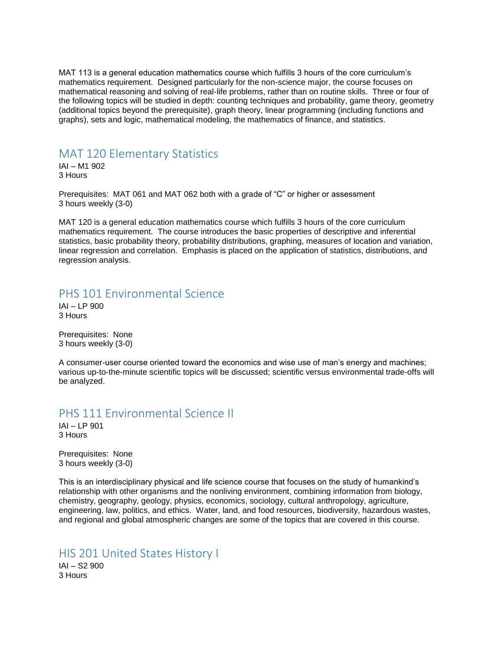MAT 113 is a general education mathematics course which fulfills 3 hours of the core curriculum's mathematics requirement. Designed particularly for the non-science major, the course focuses on mathematical reasoning and solving of real-life problems, rather than on routine skills. Three or four of the following topics will be studied in depth: counting techniques and probability, game theory, geometry (additional topics beyond the prerequisite), graph theory, linear programming (including functions and graphs), sets and logic, mathematical modeling, the mathematics of finance, and statistics.

#### MAT 120 Elementary Statistics

IAI – M1 902 3 Hours

Prerequisites: MAT 061 and MAT 062 both with a grade of "C" or higher or assessment 3 hours weekly (3-0)

MAT 120 is a general education mathematics course which fulfills 3 hours of the core curriculum mathematics requirement. The course introduces the basic properties of descriptive and inferential statistics, basic probability theory, probability distributions, graphing, measures of location and variation, linear regression and correlation. Emphasis is placed on the application of statistics, distributions, and regression analysis.

## <span id="page-8-0"></span>PHS 101 Environmental Science

IAI – LP 900 3 Hours

Prerequisites: None 3 hours weekly (3-0)

A consumer-user course oriented toward the economics and wise use of man's energy and machines; various up-to-the-minute scientific topics will be discussed; scientific versus environmental trade-offs will be analyzed.

#### PHS 111 Environmental Science II

IAI – LP 901 3 Hours

Prerequisites: None 3 hours weekly (3-0)

This is an interdisciplinary physical and life science course that focuses on the study of humankind's relationship with other organisms and the nonliving environment, combining information from biology, chemistry, geography, geology, physics, economics, sociology, cultural anthropology, agriculture, engineering, law, politics, and ethics. Water, land, and food resources, biodiversity, hazardous wastes, and regional and global atmospheric changes are some of the topics that are covered in this course.

#### <span id="page-8-1"></span>HIS 201 United States History I IAI – S2 900

3 Hours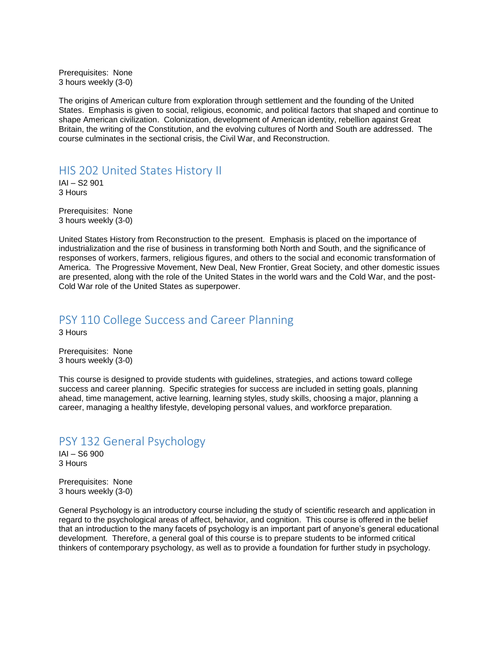Prerequisites: None 3 hours weekly (3-0)

The origins of American culture from exploration through settlement and the founding of the United States. Emphasis is given to social, religious, economic, and political factors that shaped and continue to shape American civilization. Colonization, development of American identity, rebellion against Great Britain, the writing of the Constitution, and the evolving cultures of North and South are addressed. The course culminates in the sectional crisis, the Civil War, and Reconstruction.

HIS 202 United States History II

IAI – S2 901 3 Hours

Prerequisites: None 3 hours weekly (3-0)

United States History from Reconstruction to the present. Emphasis is placed on the importance of industrialization and the rise of business in transforming both North and South, and the significance of responses of workers, farmers, religious figures, and others to the social and economic transformation of America. The Progressive Movement, New Deal, New Frontier, Great Society, and other domestic issues are presented, along with the role of the United States in the world wars and the Cold War, and the post-Cold War role of the United States as superpower.

## PSY 110 College Success and Career Planning

3 Hours

Prerequisites: None 3 hours weekly (3-0)

This course is designed to provide students with guidelines, strategies, and actions toward college success and career planning. Specific strategies for success are included in setting goals, planning ahead, time management, active learning, learning styles, study skills, choosing a major, planning a career, managing a healthy lifestyle, developing personal values, and workforce preparation.

# PSY 132 General Psychology

IAI – S6 900 3 Hours

Prerequisites: None 3 hours weekly (3-0)

General Psychology is an introductory course including the study of scientific research and application in regard to the psychological areas of affect, behavior, and cognition. This course is offered in the belief that an introduction to the many facets of psychology is an important part of anyone's general educational development. Therefore, a general goal of this course is to prepare students to be informed critical thinkers of contemporary psychology, as well as to provide a foundation for further study in psychology.